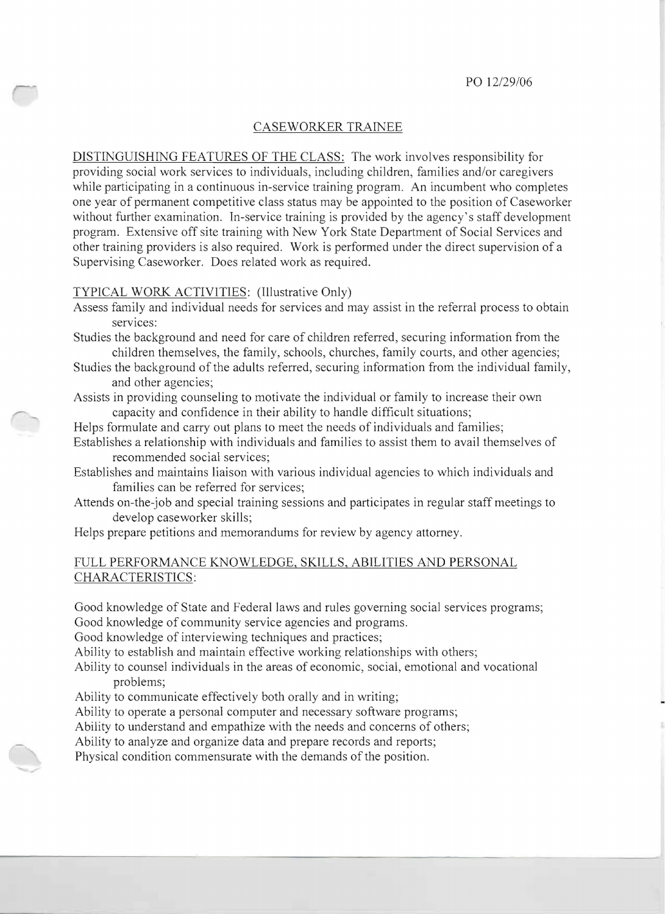## CASEWORKER TRAINEE

DISTINGUISHING FEATURES OF THE CLASS: The work involves responsibility for providing social work services to individuals, including children, families and/or caregivers while participating in a continuous in-service training program. An incumbent who completes one year of permanent competitive class status may be appointed to the position of Caseworker without further examination. In-service training is provided by the agency's staff development program. Extensive off site training with New York State Department of Social Services and other training providers is also required. Work is performed under the direct supervision of a Supervising Caseworker. Does related work as required.

## TYPICAL WORK ACTIVITIES: (Illustrative Only)

- Assess family and individual needs for services and may assist in the referral process to obtain services:
- Studies the background and need for care of children referred, securing information from the children themselves, the family, schools, churches, family courts, and other agencies;
- Studies the background of the adults referred, securing information from the individual family, and other agencies;

Assists in providing counseling to motivate the individual or family to increase their own capacity and confidence in their ability to handle difficult situations;

- Helps formulate and carry out plans to meet the needs of individuals and families;
- Establishes a relationship with individuals and families to assist them to avail themselves of recommended social services;
- Establishes and maintains liaison with various individual agencies to which individuals and families can be referred for services;
- Attends on-the-job and special training sessions and participates in regular staff meetings to develop caseworker skills;
- Helps prepare petitions and memorandums for review by agency attorney.

## FULL PERFORMANCE KNOWLEDGE, SKILLS, ABILITIES AND PERSONAL CHARACTERISTICS:

Good knowledge of State and Federal laws and rules governing social services programs; Good knowledge of community service agencies and programs.

Good knowledge of interviewing techniques and practices;

Ability to establish and maintain effective working relationships with others;

Ability to counsel individuals in the areas of economic, social, emotional and vocational problems;

Ability to communicate effectively both orally and in writing;

Ability to operate a personal computer and necessary software programs;

Ability to understand and empathize with the needs and concerns of others;

Ability to analyze and organize data and prepare records and reports;

Physical condition commensurate with the demands of the position.